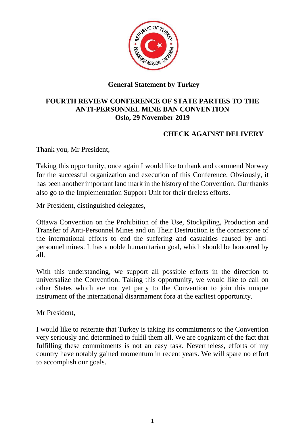

## **General Statement by Turkey**

## **FOURTH REVIEW CONFERENCE OF STATE PARTIES TO THE ANTI-PERSONNEL MINE BAN CONVENTION Oslo, 29 November 2019**

## **CHECK AGAINST DELIVERY**

Thank you, Mr President,

Taking this opportunity, once again I would like to thank and commend Norway for the successful organization and execution of this Conference. Obviously, it has been another important land mark in the history of the Convention. Our thanks also go to the Implementation Support Unit for their tireless efforts.

Mr President, distinguished delegates,

Ottawa Convention on the Prohibition of the Use, Stockpiling, Production and Transfer of Anti-Personnel Mines and on Their Destruction is the cornerstone of the international efforts to end the suffering and casualties caused by antipersonnel mines. It has a noble humanitarian goal, which should be honoured by all.

With this understanding, we support all possible efforts in the direction to universalize the Convention. Taking this opportunity, we would like to call on other States which are not yet party to the Convention to join this unique instrument of the international disarmament fora at the earliest opportunity.

Mr President,

I would like to reiterate that Turkey is taking its commitments to the Convention very seriously and determined to fulfil them all. We are cognizant of the fact that fulfilling these commitments is not an easy task. Nevertheless, efforts of my country have notably gained momentum in recent years. We will spare no effort to accomplish our goals.